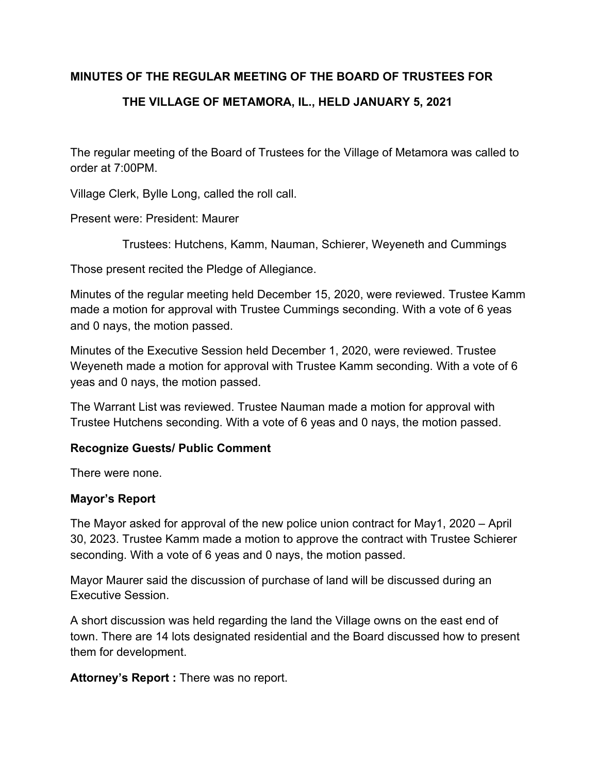# **MINUTES OF THE REGULAR MEETING OF THE BOARD OF TRUSTEES FOR**

# **THE VILLAGE OF METAMORA, IL., HELD JANUARY 5, 2021**

The regular meeting of the Board of Trustees for the Village of Metamora was called to order at 7:00PM.

Village Clerk, Bylle Long, called the roll call.

Present were: President: Maurer

Trustees: Hutchens, Kamm, Nauman, Schierer, Weyeneth and Cummings

Those present recited the Pledge of Allegiance.

Minutes of the regular meeting held December 15, 2020, were reviewed. Trustee Kamm made a motion for approval with Trustee Cummings seconding. With a vote of 6 yeas and 0 nays, the motion passed.

Minutes of the Executive Session held December 1, 2020, were reviewed. Trustee Weyeneth made a motion for approval with Trustee Kamm seconding. With a vote of 6 yeas and 0 nays, the motion passed.

The Warrant List was reviewed. Trustee Nauman made a motion for approval with Trustee Hutchens seconding. With a vote of 6 yeas and 0 nays, the motion passed.

# **Recognize Guests/ Public Comment**

There were none.

# **Mayor's Report**

The Mayor asked for approval of the new police union contract for May1, 2020 – April 30, 2023. Trustee Kamm made a motion to approve the contract with Trustee Schierer seconding. With a vote of 6 yeas and 0 nays, the motion passed.

Mayor Maurer said the discussion of purchase of land will be discussed during an Executive Session.

A short discussion was held regarding the land the Village owns on the east end of town. There are 14 lots designated residential and the Board discussed how to present them for development.

**Attorney's Report :** There was no report.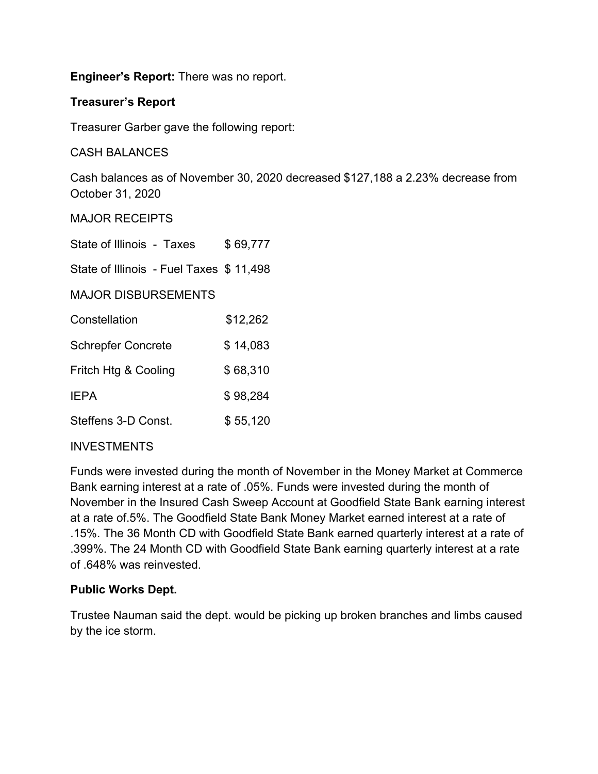**Engineer's Report:** There was no report.

# **Treasurer's Report**

Treasurer Garber gave the following report:

CASH BALANCES

Cash balances as of November 30, 2020 decreased \$127,188 a 2.23% decrease from October 31, 2020

MAJOR RECEIPTS

| State of Illinois - Taxes               | \$69,777 |
|-----------------------------------------|----------|
| State of Illinois - Fuel Taxes \$11,498 |          |
| <b>MAJOR DISBURSEMENTS</b>              |          |
| Constellation                           | \$12,262 |
| <b>Schrepfer Concrete</b>               | \$14,083 |
| Fritch Htg & Cooling                    | \$68,310 |
| <b>IEPA</b>                             | \$98,284 |
| Steffens 3-D Const.                     | \$55,120 |

# **INVESTMENTS**

Funds were invested during the month of November in the Money Market at Commerce Bank earning interest at a rate of .05%. Funds were invested during the month of November in the Insured Cash Sweep Account at Goodfield State Bank earning interest at a rate of.5%. The Goodfield State Bank Money Market earned interest at a rate of .15%. The 36 Month CD with Goodfield State Bank earned quarterly interest at a rate of .399%. The 24 Month CD with Goodfield State Bank earning quarterly interest at a rate of .648% was reinvested.

# **Public Works Dept.**

Trustee Nauman said the dept. would be picking up broken branches and limbs caused by the ice storm.